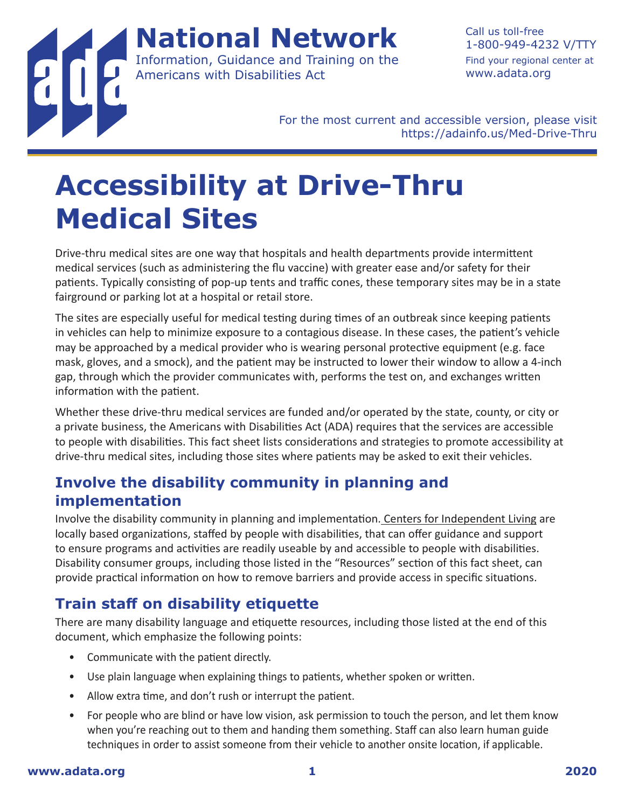**National Network** Information, Guidance and Training on the Americans with Disabilities Act

Call us toll-free 1-800-949-4232 V/TTY Find your regional center at [www.adata.org](http://www.adata.org)

For the most current and accessible version, please visit <https://adainfo.us/Med-Drive-Thru>

# **Accessibility at Drive-Thru Medical Sites**

Drive-thru medical sites are one way that hospitals and health departments provide intermittent medical services (such as administering the flu vaccine) with greater ease and/or safety for their patients. Typically consisting of pop-up tents and traffic cones, these temporary sites may be in a state fairground or parking lot at a hospital or retail store.

The sites are especially useful for medical testing during times of an outbreak since keeping patients in vehicles can help to minimize exposure to a contagious disease. In these cases, the patient's vehicle may be approached by a medical provider who is wearing personal protective equipment (e.g. face mask, gloves, and a smock), and the patient may be instructed to lower their window to allow a 4-inch gap, through which the provider communicates with, performs the test on, and exchanges written information with the patient.

Whether these drive-thru medical services are funded and/or operated by the state, county, or city or a private business, the Americans with Disabilities Act (ADA) requires that the services are accessible to people with disabilities. This fact sheet lists considerations and strategies to promote accessibility at drive-thru medical sites, including those sites where patients may be asked to exit their vehicles.

## **Involve the disability community in planning and implementation**

Involve the disability community in planning and implementation[. Centers for Independent Living](https://acl.gov/programs/centers-independent-living/list-cils-and-spils) are locally based organizations, staffed by people with disabilities, that can offer guidance and support to ensure programs and activities are readily useable by and accessible to people with disabilities. Disability consumer groups, including those listed in the "Resources" section of this fact sheet, can provide practical information on how to remove barriers and provide access in specific situations.

## **Train staff on disability etiquette**

There are many disability language and etiquette resources, including those listed at the end of this document, which emphasize the following points:

- Communicate with the patient directly.
- Use plain language when explaining things to patients, whether spoken or written.
- Allow extra time, and don't rush or interrupt the patient.
- For people who are blind or have low vision, ask permission to touch the person, and let them know when you're reaching out to them and handing them something. Staff can also learn human guide techniques in order to assist someone from their vehicle to another onsite location, if applicable.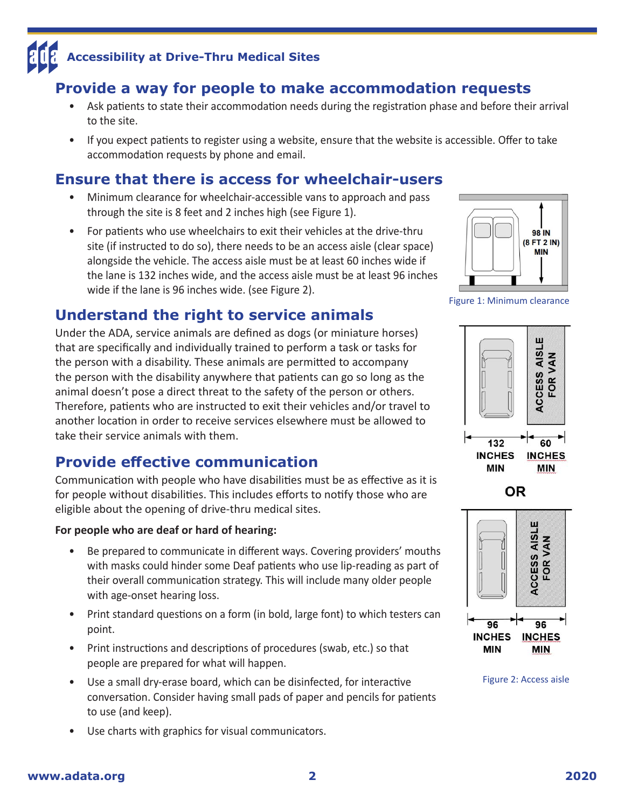## **Provide a way for people to make accommodation requests**

- Ask patients to state their accommodation needs during the registration phase and before their arrival to the site.
- If you expect patients to register using a website, ensure that the website is accessible. Offer to take accommodation requests by phone and email.

## **Ensure that there is access for wheelchair-users**

- Minimum clearance for wheelchair-accessible vans to approach and pass through the site is 8 feet and 2 inches high (see Figure 1).
- For patients who use wheelchairs to exit their vehicles at the drive-thru site (if instructed to do so), there needs to be an access aisle (clear space) alongside the vehicle. The access aisle must be at least 60 inches wide if the lane is 132 inches wide, and the access aisle must be at least 96 inches wide if the lane is 96 inches wide. (see Figure 2).



## **Understand the right to service animals**

Under the ADA, service animals are defined as dogs (or miniature horses) that are specifically and individually trained to perform a task or tasks for the person with a disability. These animals are permitted to accompany the person with the disability anywhere that patients can go so long as the animal doesn't pose a direct threat to the safety of the person or others. Therefore, patients who are instructed to exit their vehicles and/or travel to another location in order to receive services elsewhere must be allowed to take their service animals with them.

## **Provide effective communication**

Communication with people who have disabilities must be as effective as it is for people without disabilities. This includes efforts to notify those who are eligible about the opening of drive-thru medical sites.

#### **For people who are deaf or hard of hearing:**

- Be prepared to communicate in different ways. Covering providers' mouths with masks could hinder some Deaf patients who use lip-reading as part of their overall communication strategy. This will include many older people with age-onset hearing loss.
- Print standard questions on a form (in bold, large font) to which testers can point.
- Print instructions and descriptions of procedures (swab, etc.) so that people are prepared for what will happen.
- Use a small dry-erase board, which can be disinfected, for interactive conversation. Consider having small pads of paper and pencils for patients to use (and keep).
- Use charts with graphics for visual communicators.

Figure 1: Minimum clearance







Figure 2: Access aisle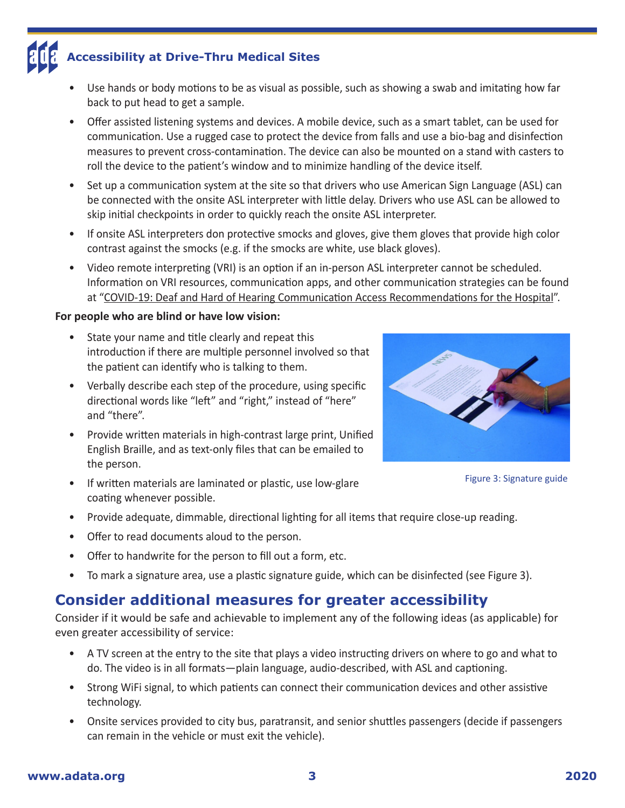- Use hands or body motions to be as visual as possible, such as showing a swab and imitating how far back to put head to get a sample.
- Offer assisted listening systems and devices. A mobile device, such as a smart tablet, can be used for communication. Use a rugged case to protect the device from falls and use a bio-bag and disinfection measures to prevent cross-contamination. The device can also be mounted on a stand with casters to roll the device to the patient's window and to minimize handling of the device itself.
- Set up a communication system at the site so that drivers who use American Sign Language (ASL) can be connected with the onsite ASL interpreter with little delay. Drivers who use ASL can be allowed to skip initial checkpoints in order to quickly reach the onsite ASL interpreter.
- If onsite ASL interpreters don protective smocks and gloves, give them gloves that provide high color contrast against the smocks (e.g. if the smocks are white, use black gloves).
- Video remote interpreting (VRI) is an option if an in-person ASL interpreter cannot be scheduled. Information on VRI resources, communication apps, and other communication strategies can be found at ["COVID-19: Deaf and Hard of Hearing Communication Access Recommendations for the Hospital](https://www.nad.org/covid19-communication-access-recs-for-hospital/)".

#### **For people who are blind or have low vision:**

- State your name and title clearly and repeat this introduction if there are multiple personnel involved so that the patient can identify who is talking to them.
- Verbally describe each step of the procedure, using specific directional words like "left" and "right," instead of "here" and "there".
- Provide written materials in high-contrast large print, Unified English Braille, and as text-only files that can be emailed to the person.
- If written materials are laminated or plastic, use low-glare coating whenever possible.
- Provide adequate, dimmable, directional lighting for all items that require close-up reading.
- Offer to read documents aloud to the person.
- Offer to handwrite for the person to fill out a form, etc.
- To mark a signature area, use a plastic signature guide, which can be disinfected (see Figure 3).

## **Consider additional measures for greater accessibility**

Consider if it would be safe and achievable to implement any of the following ideas (as applicable) for even greater accessibility of service:

- A TV screen at the entry to the site that plays a video instructing drivers on where to go and what to do. The video is in all formats—plain language, audio-described, with ASL and captioning.
- Strong WiFi signal, to which patients can connect their communication devices and other assistive technology.
- Onsite services provided to city bus, paratransit, and senior shuttles passengers (decide if passengers can remain in the vehicle or must exit the vehicle).



Figure 3: Signature guide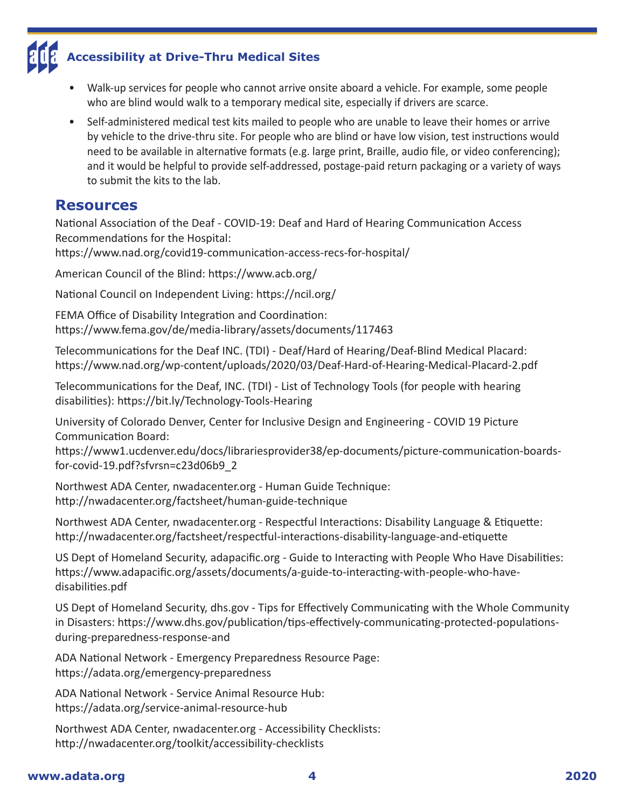- Walk-up services for people who cannot arrive onsite aboard a vehicle. For example, some people who are blind would walk to a temporary medical site, especially if drivers are scarce.
- Self-administered medical test kits mailed to people who are unable to leave their homes or arrive by vehicle to the drive-thru site. For people who are blind or have low vision, test instructions would need to be available in alternative formats (e.g. large print, Braille, audio file, or video conferencing); and it would be helpful to provide self-addressed, postage-paid return packaging or a variety of ways to submit the kits to the lab.

#### **Resources**

National Association of the Deaf - COVID-19: Deaf and Hard of Hearing Communication Access Recommendations for the Hospital:

<https://www.nad.org/covid19-communication-access-recs-for-hospital/>

American Council of the Blind:<https://www.acb.org/>

National Council on Independent Living:<https://ncil.org/>

FEMA Office of Disability Integration and Coordination: <https://www.fema.gov/de/media-library/assets/documents/117463>

Telecommunications for the Deaf INC. (TDI) - Deaf/Hard of Hearing/Deaf-Blind Medical Placard: <https://www.nad.org/wp-content/uploads/2020/03/Deaf-Hard-of-Hearing-Medical-Placard-2.pdf>

Telecommunications for the Deaf, INC. (TDI) - List of Technology Tools (for people with hearing disabilities): <https://bit.ly/Technology-Tools-Hearing>

University of Colorado Denver, Center for Inclusive Design and Engineering - COVID 19 Picture Communication Board:

[https://www1.ucdenver.edu/docs/librariesprovider38/ep-documents/picture-communication-boards](https://www1.ucdenver.edu/docs/librariesprovider38/ep-documents/picture-communication-boards-for-covid-19.pdf?sfvrsn=c23d06b9_2)[for-covid-19.pdf?sfvrsn=c23d06b9\\_2](https://www1.ucdenver.edu/docs/librariesprovider38/ep-documents/picture-communication-boards-for-covid-19.pdf?sfvrsn=c23d06b9_2)

Northwest ADA Center, [nwadacenter.org](http://nwadacenter.org) - Human Guide Technique: <http://nwadacenter.org/factsheet/human-guide-technique>

Northwest ADA Center, [nwadacenter.org](http://nwadacenter.org) - Respectful Interactions: Disability Language & Etiquette: <http://nwadacenter.org/factsheet/respectful-interactions-disability-language-and-etiquette>

US Dept of Homeland Security, [adapacific.org](http://adapacific.org) - Guide to Interacting with People Who Have Disabilities: [https://www.adapacific.org/assets/documents/a-guide-to-interacting-with-people-who-have](https://www.adapacific.org/assets/documents/a-guide-to-interacting-with-people-who-have-disabilities.pdf)[disabilities.pdf](https://www.adapacific.org/assets/documents/a-guide-to-interacting-with-people-who-have-disabilities.pdf)

US Dept of Homeland Security, [dhs.gov](http://dhs.gov) - Tips for Effectively Communicating with the Whole Community in Disasters: [https://www.dhs.gov/publication/tips-effectively-communicating-protected-populations](https://www.dhs.gov/publication/tips-effectively-communicating-protected-populations-during-preparedness-response-and)[during-preparedness-response-and](https://www.dhs.gov/publication/tips-effectively-communicating-protected-populations-during-preparedness-response-and)

ADA National Network - Emergency Preparedness Resource Page: <https://adata.org/emergency-preparedness>

ADA National Network - Service Animal Resource Hub: <https://adata.org/service-animal-resource-hub>

Northwest ADA Center, [nwadacenter.org](http://nwadacenter.org) - Accessibility Checklists: <http://nwadacenter.org/toolkit/accessibility-checklists>